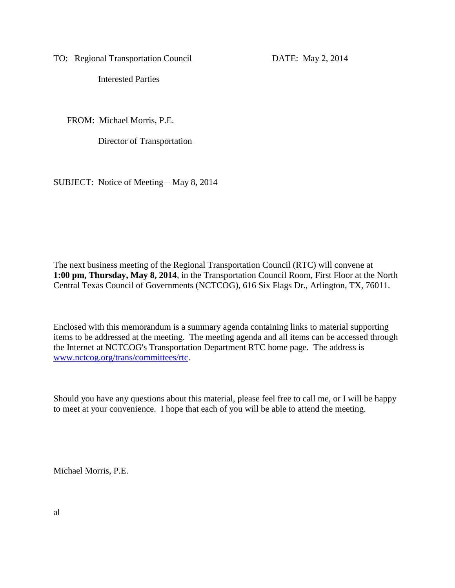TO: Regional Transportation Council DATE: May 2, 2014

Interested Parties

FROM: Michael Morris, P.E.

Director of Transportation

SUBJECT: Notice of Meeting – May 8, 2014

The next business meeting of the Regional Transportation Council (RTC) will convene at **1:00 pm, Thursday, May 8, 2014**, in the Transportation Council Room, First Floor at the North Central Texas Council of Governments (NCTCOG), 616 Six Flags Dr., Arlington, TX, 76011.

Enclosed with this memorandum is a summary agenda containing links to material supporting items to be addressed at the meeting. The meeting agenda and all items can be accessed through the Internet at NCTCOG's Transportation Department RTC home page. The address is [www.nctcog.org/trans/committees/rtc.](http://www.nctcog.org/trans/committees/rtc)

Should you have any questions about this material, please feel free to call me, or I will be happy to meet at your convenience. I hope that each of you will be able to attend the meeting.

Michael Morris, P.E.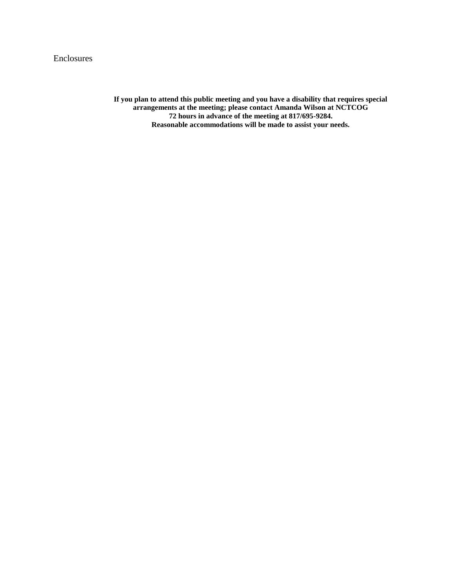### Enclosures

**If you plan to attend this public meeting and you have a disability that requires special arrangements at the meeting; please contact Amanda Wilson at NCTCOG 72 hours in advance of the meeting at 817/695-9284. Reasonable accommodations will be made to assist your needs.**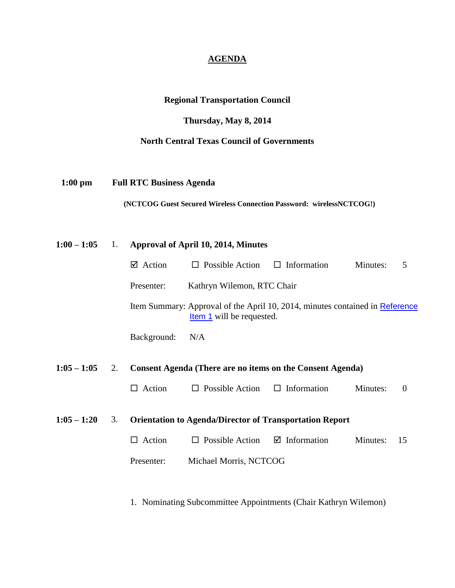### **AGENDA**

# **Regional Transportation Council**

# **Thursday, May 8, 2014**

# **North Central Texas Council of Governments**

 **1:00 pm Full RTC Business Agenda**

 **(NCTCOG Guest Secured Wireless Connection Password: wirelessNCTCOG!)**

| $1:00 - 1:05$ | 1. | Approval of April 10, 2014, Minutes |                                                                                                                                                |                         |          |          |
|---------------|----|-------------------------------------|------------------------------------------------------------------------------------------------------------------------------------------------|-------------------------|----------|----------|
|               |    | $\boxtimes$ Action                  | $\Box$ Possible Action                                                                                                                         | $\Box$ Information      | Minutes: | 5        |
|               |    | Presenter:                          | Kathryn Wilemon, RTC Chair<br>Item Summary: Approval of the April 10, 2014, minutes contained in Reference<br><b>Item 1</b> will be requested. |                         |          |          |
|               |    |                                     |                                                                                                                                                |                         |          |          |
|               |    | Background:                         | N/A                                                                                                                                            |                         |          |          |
| $1:05 - 1:05$ | 2. |                                     | Consent Agenda (There are no items on the Consent Agenda)                                                                                      |                         |          |          |
|               |    | $\Box$ Action                       | $\Box$ Possible Action                                                                                                                         | $\Box$ Information      | Minutes: | $\theta$ |
| $1:05 - 1:20$ | 3. |                                     | <b>Orientation to Agenda/Director of Transportation Report</b>                                                                                 |                         |          |          |
|               |    | $\Box$ Action                       | $\Box$ Possible Action                                                                                                                         | $\boxtimes$ Information | Minutes: | 15       |
|               |    | Presenter:                          | Michael Morris, NCTCOG                                                                                                                         |                         |          |          |
|               |    |                                     |                                                                                                                                                |                         |          |          |

1. Nominating Subcommittee Appointments (Chair Kathryn Wilemon)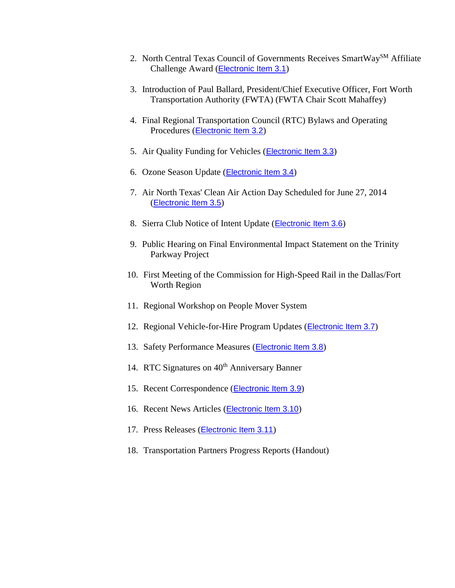- 2. North Central Texas Council of Governments Receives SmartWay<sup>SM</sup> Affiliate Challenge Award ([Electronic Item 3.1](http://www.nctcog.org/trans/committees/rtc/2014/05May/Ref.Itm_3.1.rtc050814.pdf))
- 3. Introduction of Paul Ballard, President/Chief Executive Officer, Fort Worth Transportation Authority (FWTA) (FWTA Chair Scott Mahaffey)
- 4. Final Regional Transportation Council (RTC) Bylaws and Operating Procedures ([Electronic Item 3.2](http://www.nctcog.org/trans/committees/rtc/2014/05May/Ref.Itm_3.2.rtc050814.pdf))
- 5. Air Quality Funding for Vehicles (**[Electronic Item 3.3](http://www.nctcog.org/trans/air/vehicles/investments/funding/VehicleFundingOpportunities.asp)**)
- 6. Ozone Season Update ([Electronic Item 3.4](http://www.nctcog.org/trans/committees/rtc/2014/05May/Ref.Itm_3.4.rtc050814.pdf))
- 7. Air North Texas' Clean Air Action Day Scheduled for June 27, 2014 ([Electronic Item 3.5](http://www.airnorthtexas.org/cleanair.asp))
- 8. Sierra Club Notice of Intent Update ([Electronic Item 3.6](http://www.nctcog.org/trans/committees/rtc/2014/05May/Ref.Itm_3.6.rtc050814.pdf))
- 9. Public Hearing on Final Environmental Impact Statement on the Trinity Parkway Project
- 10. First Meeting of the Commission for High-Speed Rail in the Dallas/Fort Worth Region
- 11. Regional Workshop on People Mover System
- 12. Regional Vehicle-for-Hire Program Updates (*[Electronic Item 3.7](http://www.nctcog.org/trans/committees/rtc/2014/05May/Ref.Itm_3.7.rtc050814.pdf)*)
- 13. Safety Performance Measures ([Electronic Item 3.8](http://www.nctcog.org/trans/committees/rtc/2014/05May/Ref.Itm_3.8.rtc050814.pdf))
- 14. RTC Signatures on 40<sup>th</sup> Anniversary Banner
- 15. Recent Correspondence ([Electronic Item 3.9](http://www.nctcog.org/trans/committees/rtc/2014/05May/Ref.Itm_3.9.rtc050814.pdf))
- 16. Recent News Articles ([Electronic Item 3.10](http://www.nctcog.org/trans/committees/rtc/2014/05May/Ref.Itm_3.10.rtc050814.pdf))
- 17. Press Releases ([Electronic Item 3.11](http://www.nctcog.org/trans/committees/rtc/2014/05May/Ref.Itm_3.11.rtc050814.pdf))
- 18. Transportation Partners Progress Reports (Handout)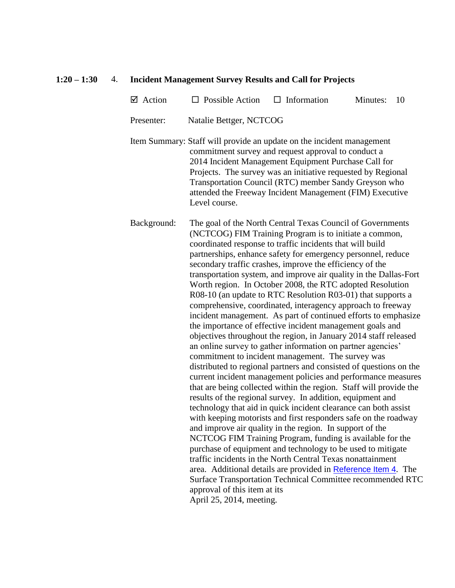#### **1:20 – 1:30** 4. **Incident Management Survey Results and Call for Projects**

 $\boxtimes$  Action  $\Box$  Possible Action  $\Box$  Information Minutes: 10

Presenter: Natalie Bettger, NCTCOG

Item Summary: Staff will provide an update on the incident management commitment survey and request approval to conduct a 2014 Incident Management Equipment Purchase Call for Projects. The survey was an initiative requested by Regional Transportation Council (RTC) member Sandy Greyson who attended the Freeway Incident Management (FIM) Executive Level course.

Background: The goal of the North Central Texas Council of Governments (NCTCOG) FIM Training Program is to initiate a common, coordinated response to traffic incidents that will build partnerships, enhance safety for emergency personnel, reduce secondary traffic crashes, improve the efficiency of the transportation system, and improve air quality in the Dallas-Fort Worth region. In October 2008, the RTC adopted Resolution R08-10 (an update to RTC Resolution R03-01) that supports a comprehensive, coordinated, interagency approach to freeway incident management. As part of continued efforts to emphasize the importance of effective incident management goals and objectives throughout the region, in January 2014 staff released an online survey to gather information on partner agencies' commitment to incident management. The survey was distributed to regional partners and consisted of questions on the current incident management policies and performance measures that are being collected within the region. Staff will provide the results of the regional survey. In addition, equipment and technology that aid in quick incident clearance can both assist with keeping motorists and first responders safe on the roadway and improve air quality in the region. In support of the NCTCOG FIM Training Program, funding is available for the purchase of equipment and technology to be used to mitigate traffic incidents in the North Central Texas nonattainment area. Additional details are provided in [Reference Item 4](http://www.nctcog.org/trans/committees/rtc/2014/05May/Ref.Itm_4.rtc050814.pdf). The Surface Transportation Technical Committee recommended RTC approval of this item at its April 25, 2014, meeting.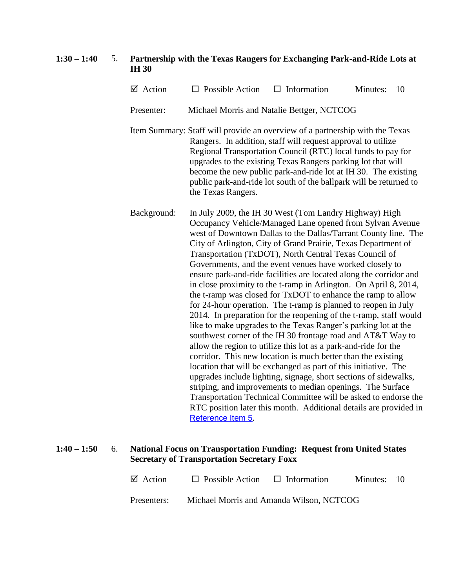### **1:30 – 1:40** 5. **Partnership with the Texas Rangers for Exchanging Park-and-Ride Lots at IH 30**

| $\boxtimes$ Action                                                                                                                                                                                                                                                                                                                                                          | $\Box$ Possible Action $\Box$ Information  |  | Minutes: 10 |  |
|-----------------------------------------------------------------------------------------------------------------------------------------------------------------------------------------------------------------------------------------------------------------------------------------------------------------------------------------------------------------------------|--------------------------------------------|--|-------------|--|
| Presenter:                                                                                                                                                                                                                                                                                                                                                                  | Michael Morris and Natalie Bettger, NCTCOG |  |             |  |
| Item Summary: Staff will provide an overview of a partnership with the Texas                                                                                                                                                                                                                                                                                                |                                            |  |             |  |
| Rangers. In addition, staff will request approval to utilize<br>$\mathbf{r}$ , $\mathbf{r}$ , $\mathbf{r}$ , $\mathbf{r}$ , $\mathbf{r}$ , $\mathbf{r}$ , $\mathbf{r}$ , $\mathbf{r}$ , $\mathbf{r}$ , $\mathbf{r}$ , $\mathbf{r}$ , $\mathbf{r}$ , $\mathbf{r}$ , $\mathbf{r}$ , $\mathbf{r}$ , $\mathbf{r}$ , $\mathbf{r}$ , $\mathbf{r}$ , $\mathbf{r}$ , $\mathbf{r}$ , |                                            |  |             |  |

Regional Transportation Council (RTC) local funds to pay for upgrades to the existing Texas Rangers parking lot that will become the new public park-and-ride lot at IH 30. The existing public park-and-ride lot south of the ballpark will be returned to the Texas Rangers.

Background: In July 2009, the IH 30 West (Tom Landry Highway) High Occupancy Vehicle/Managed Lane opened from Sylvan Avenue west of Downtown Dallas to the Dallas/Tarrant County line. The City of Arlington, City of Grand Prairie, Texas Department of Transportation (TxDOT), North Central Texas Council of Governments, and the event venues have worked closely to ensure park-and-ride facilities are located along the corridor and in close proximity to the t-ramp in Arlington. On April 8, 2014, the t-ramp was closed for TxDOT to enhance the ramp to allow for 24-hour operation. The t-ramp is planned to reopen in July 2014. In preparation for the reopening of the t-ramp, staff would like to make upgrades to the Texas Ranger's parking lot at the southwest corner of the IH 30 frontage road and AT&T Way to allow the region to utilize this lot as a park-and-ride for the corridor. This new location is much better than the existing location that will be exchanged as part of this initiative. The upgrades include lighting, signage, short sections of sidewalks, striping, and improvements to median openings. The Surface Transportation Technical Committee will be asked to endorse the RTC position later this month. Additional details are provided in [Reference Item 5](http://www.nctcog.org/trans/committees/rtc/2014/05May/Ref.Itm_5.rtc050814.pdf).

### **1:40 – 1:50** 6. **National Focus on Transportation Funding: Request from United States Secretary of Transportation Secretary Foxx**

| $\boxtimes$ Action | $\Box$ Possible Action $\Box$ Information |  | Minutes: 10 |  |
|--------------------|-------------------------------------------|--|-------------|--|
| Presenters:        | Michael Morris and Amanda Wilson, NCTCOG  |  |             |  |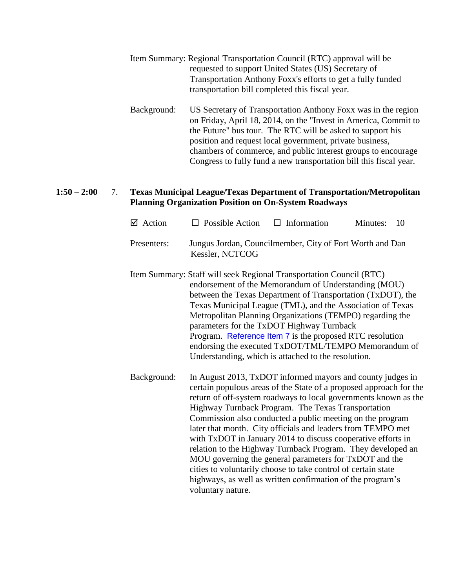- Item Summary: Regional Transportation Council (RTC) approval will be requested to support United States (US) Secretary of Transportation Anthony Foxx's efforts to get a fully funded transportation bill completed this fiscal year.
- Background: US Secretary of Transportation Anthony Foxx was in the region on Friday, April 18, 2014, on the "Invest in America, Commit to the Future" bus tour. The RTC will be asked to support his position and request local government, private business, chambers of commerce, and public interest groups to encourage Congress to fully fund a new transportation bill this fiscal year.

### **1:50 – 2:00** 7. **Texas Municipal League/Texas Department of Transportation/Metropolitan Planning Organization Position on On-System Roadways**

| $\boxtimes$ Action | $\Box$ Possible Action                                                                                                                                                                                                                                                                                                                                                                                                                                                                                                                                                                                                                                                                                                             | $\Box$ Information | Minutes: | 10 |
|--------------------|------------------------------------------------------------------------------------------------------------------------------------------------------------------------------------------------------------------------------------------------------------------------------------------------------------------------------------------------------------------------------------------------------------------------------------------------------------------------------------------------------------------------------------------------------------------------------------------------------------------------------------------------------------------------------------------------------------------------------------|--------------------|----------|----|
| Presenters:        | Jungus Jordan, Councilmember, City of Fort Worth and Dan<br>Kessler, NCTCOG                                                                                                                                                                                                                                                                                                                                                                                                                                                                                                                                                                                                                                                        |                    |          |    |
|                    | Item Summary: Staff will seek Regional Transportation Council (RTC)<br>endorsement of the Memorandum of Understanding (MOU)<br>between the Texas Department of Transportation (TxDOT), the<br>Texas Municipal League (TML), and the Association of Texas<br>Metropolitan Planning Organizations (TEMPO) regarding the<br>parameters for the TxDOT Highway Turnback<br>Program. Reference Item 7 is the proposed RTC resolution<br>endorsing the executed TxDOT/TML/TEMPO Memorandum of<br>Understanding, which is attached to the resolution.                                                                                                                                                                                      |                    |          |    |
| Background:        | In August 2013, TxDOT informed mayors and county judges in<br>certain populous areas of the State of a proposed approach for the<br>return of off-system roadways to local governments known as the<br>Highway Turnback Program. The Texas Transportation<br>Commission also conducted a public meeting on the program<br>later that month. City officials and leaders from TEMPO met<br>with TxDOT in January 2014 to discuss cooperative efforts in<br>relation to the Highway Turnback Program. They developed an<br>MOU governing the general parameters for TxDOT and the<br>cities to voluntarily choose to take control of certain state<br>highways, as well as written confirmation of the program's<br>voluntary nature. |                    |          |    |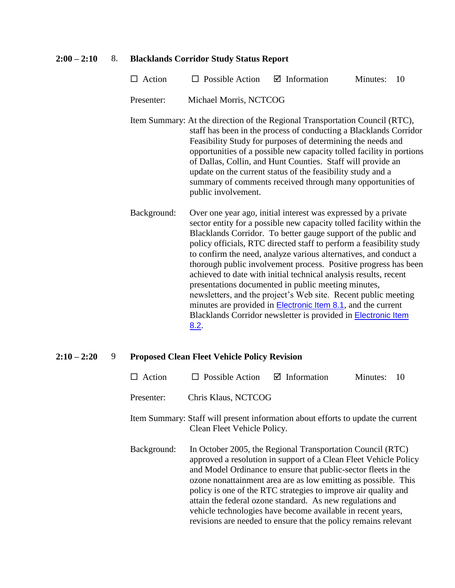#### **2:00 – 2:10** 8. **Blacklands Corridor Study Status Report**

- $\Box$  Action  $\Box$  Possible Action  $\Box$  Information Minutes: 10
- Presenter: Michael Morris, NCTCOG
- Item Summary: At the direction of the Regional Transportation Council (RTC), staff has been in the process of conducting a Blacklands Corridor Feasibility Study for purposes of determining the needs and opportunities of a possible new capacity tolled facility in portions of Dallas, Collin, and Hunt Counties. Staff will provide an update on the current status of the feasibility study and a summary of comments received through many opportunities of public involvement.
- Background: Over one year ago, initial interest was expressed by a private sector entity for a possible new capacity tolled facility within the Blacklands Corridor. To better gauge support of the public and policy officials, RTC directed staff to perform a feasibility study to confirm the need, analyze various alternatives, and conduct a thorough public involvement process. Positive progress has been achieved to date with initial technical analysis results, recent presentations documented in public meeting minutes, newsletters, and the project's Web site. Recent public meeting minutes are provided in **[Electronic Item 8.1](http://www.nctcog.org/trans/committees/rtc/2014/05May/Ref.Itm_8.1.rtc050814.pdf)**, and the current Blacklands Corridor newsletter is provided in [Electronic Item](http://www.nctcog.org/trans/committees/rtc/2014/05May/Ref.Itm_8.2.rtc050814.pdf)  [8.2](http://www.nctcog.org/trans/committees/rtc/2014/05May/Ref.Itm_8.2.rtc050814.pdf).

#### **2:10 – 2:20** 9 **Proposed Clean Fleet Vehicle Policy Revision**

- $\Box$  Action  $\Box$  Possible Action  $\Box$  Information Minutes: 10
- Presenter: Chris Klaus, NCTCOG
- Item Summary: Staff will present information about efforts to update the current Clean Fleet Vehicle Policy.
- Background: In October 2005, the Regional Transportation Council (RTC) approved a resolution in support of a Clean Fleet Vehicle Policy and Model Ordinance to ensure that public-sector fleets in the ozone nonattainment area are as low emitting as possible. This policy is one of the RTC strategies to improve air quality and attain the federal ozone standard. As new regulations and vehicle technologies have become available in recent years, revisions are needed to ensure that the policy remains relevant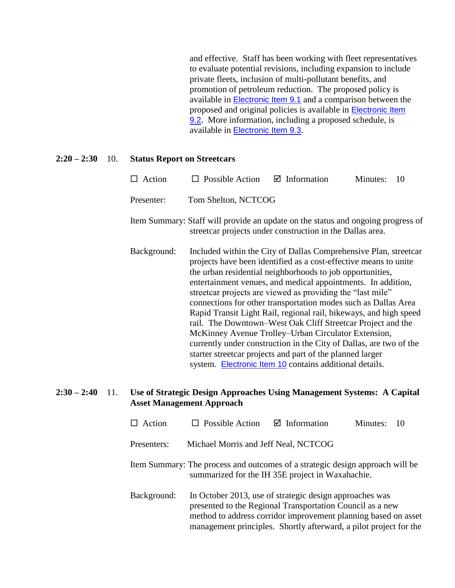and effective. Staff has been working with fleet representatives to evaluate potential revisions, including expansion to include private fleets, inclusion of multi-pollutant benefits, and promotion of petroleum reduction. The proposed policy is available in [Electronic Item 9.1](http://www.nctcog.org/trans/committees/rtc/2014/05May/Ref.Itm_9.1.rtc050814.pdf) and a comparison between the proposed and original policies is available in [Electronic Item](http://www.nctcog.org/trans/committees/rtc/2014/05May/Ref.Itm_9.2.rtc050814.pdf)  [9.2](http://www.nctcog.org/trans/committees/rtc/2014/05May/Ref.Itm_9.2.rtc050814.pdf). More information, including a proposed schedule, is available in [Electronic Item 9.3](http://www.nctcog.org/trans/committees/rtc/2014/05May/Ref.Itm_9.3.rtc050814.pdf).

#### **2:20 – 2:30** 10. **Status Report on Streetcars**

| $\Box$ Action | $\Box$ Possible Action $\Box$ Information | Minutes: 10 |  |
|---------------|-------------------------------------------|-------------|--|
| Presenter:    | Tom Shelton, NCTCOG                       |             |  |

- Item Summary: Staff will provide an update on the status and ongoing progress of streetcar projects under construction in the Dallas area.
- Background: Included within the City of Dallas Comprehensive Plan, streetcar projects have been identified as a cost-effective means to unite the urban residential neighborhoods to job opportunities, entertainment venues, and medical appointments. In addition, streetcar projects are viewed as providing the "last mile" connections for other transportation modes such as Dallas Area Rapid Transit Light Rail, regional rail, bikeways, and high speed rail. The Downtown–West Oak Cliff Streetcar Project and the McKinney Avenue Trolley–Urban Circulator Extension, currently under construction in the City of Dallas, are two of the starter streetcar projects and part of the planned larger system. [Electronic Item 10](http://www.nctcog.org/trans/committees/rtc/2014/05May/Ref.Itm_10.rtc050814.pdf) contains additional details.

### **2:30 – 2:40** 11. **Use of Strategic Design Approaches Using Management Systems: A Capital Asset Management Approach**

- $\Box$  Action  $\Box$  Possible Action  $\Box$  Information Minutes: 10 Presenters: Michael Morris and Jeff Neal, NCTCOG
- Item Summary: The process and outcomes of a strategic design approach will be summarized for the IH 35E project in Waxahachie.
- Background: In October 2013, use of strategic design approaches was presented to the Regional Transportation Council as a new method to address corridor improvement planning based on asset management principles. Shortly afterward, a pilot project for the